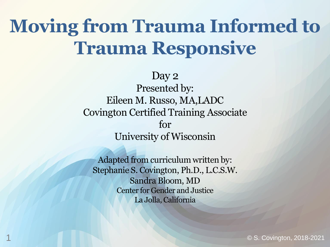# **Moving from Trauma Informed to Trauma Responsive**

Day 2 Presented by: Eileen M. Russo, MA,LADC Covington Certified Training Associate for University of Wisconsin

Adapted from curriculum written by: Stephanie S. Covington, Ph.D., L.C.S.W. Sandra Bloom, MD Center for Gender and Justice La Jolla, California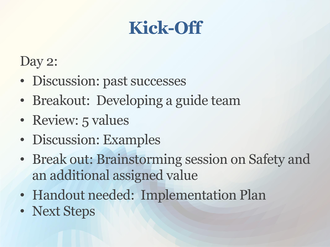## **Kick-Off**

#### Day 2:

- Discussion: past successes
- Breakout: Developing a guide team
- Review: 5 values
- Discussion: Examples
- Break out: Brainstorming session on Safety and an additional assigned value
- Handout needed: Implementation Plan
- Next Steps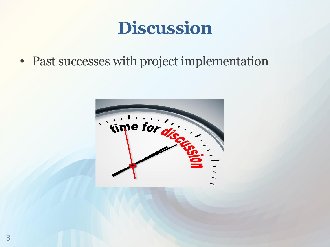## **Discussion**

• Past successes with project implementation

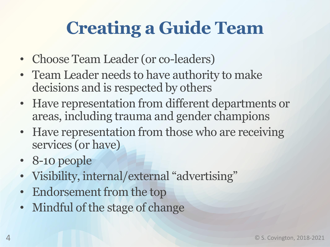# **Creating a Guide Team**

- Choose Team Leader (or co-leaders)
- Team Leader needs to have authority to make decisions and is respected by others
- Have representation from different departments or areas, including trauma and gender champions
- Have representation from those who are receiving services (or have)
- 8-10 people
- Visibility, internal/external "advertising"
- Endorsement from the top
- Mindful of the stage of change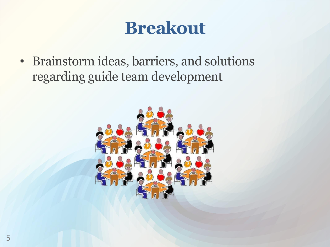## **Breakout**

• Brainstorm ideas, barriers, and solutions regarding guide team development

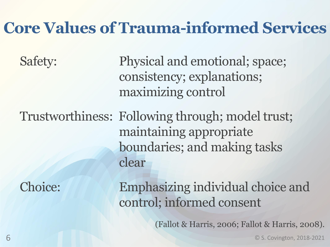#### **Core Values of Trauma-informed Services**

Safety: Physical and emotional; space; consistency; explanations; maximizing control

Trustworthiness: Following through; model trust; maintaining appropriate boundaries; and making tasks clear

Choice: Emphasizing individual choice and control; informed consent

(Fallot & Harris, 2006; Fallot & Harris, 2008).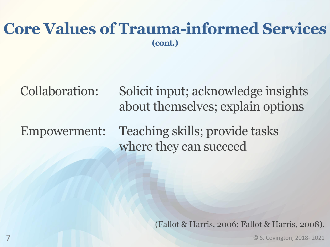#### **Core Values of Trauma-informed Services (cont.)**

Collaboration: Solicit input; acknowledge insights about themselves; explain options

Empowerment: Teaching skills; provide tasks where they can succeed

(Fallot & Harris, 2006; Fallot & Harris, 2008).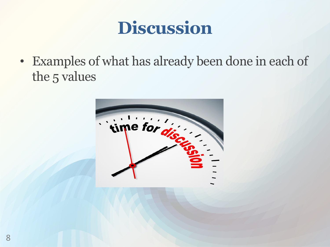## **Discussion**

• Examples of what has already been done in each of the 5 values

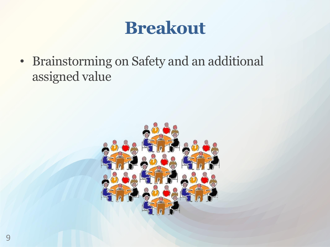## **Breakout**

• Brainstorming on Safety and an additional assigned value

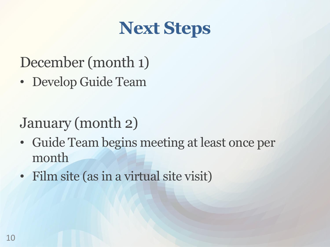## **Next Steps**

#### December (month 1)

• Develop Guide Team

#### January (month 2)

- Guide Team begins meeting at least once per month
- Film site (as in a virtual site visit)